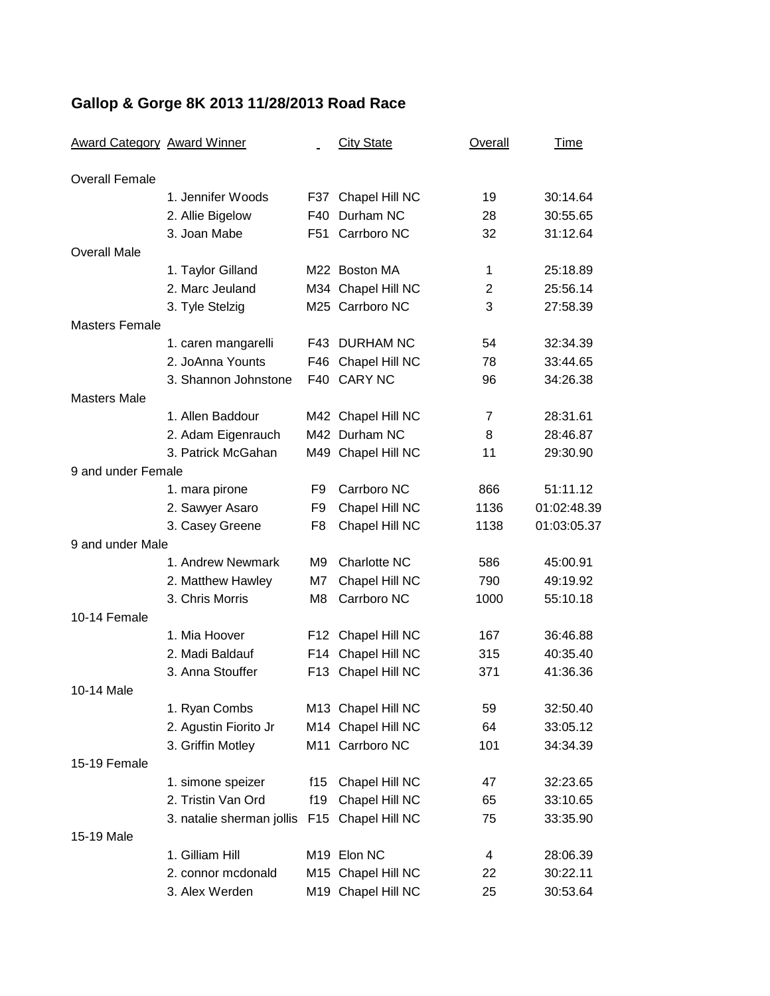## **Gallop & Gorge 8K 2013 11/28/2013 Road Race**

| <b>Award Category Award Winner</b> |                                              |                | <b>City State</b>  | Overall | <u>Time</u> |
|------------------------------------|----------------------------------------------|----------------|--------------------|---------|-------------|
| <b>Overall Female</b>              |                                              |                |                    |         |             |
|                                    | 1. Jennifer Woods                            | F37            | Chapel Hill NC     | 19      | 30:14.64    |
|                                    | 2. Allie Bigelow                             | F40            | Durham NC          | 28      | 30:55.65    |
|                                    | 3. Joan Mabe                                 | F51            | Carrboro NC        | 32      | 31:12.64    |
| <b>Overall Male</b>                |                                              |                |                    |         |             |
|                                    | 1. Taylor Gilland                            |                | M22 Boston MA      | 1       | 25:18.89    |
|                                    | 2. Marc Jeuland                              |                | M34 Chapel Hill NC | 2       | 25:56.14    |
|                                    | 3. Tyle Stelzig                              |                | M25 Carrboro NC    | 3       | 27:58.39    |
| <b>Masters Female</b>              |                                              |                |                    |         |             |
|                                    | 1. caren mangarelli                          |                | F43 DURHAM NC      | 54      | 32:34.39    |
|                                    | 2. JoAnna Younts                             | F46            | Chapel Hill NC     | 78      | 33:44.65    |
|                                    | 3. Shannon Johnstone                         |                | F40 CARY NC        | 96      | 34:26.38    |
| <b>Masters Male</b>                |                                              |                |                    |         |             |
|                                    | 1. Allen Baddour                             |                | M42 Chapel Hill NC | 7       | 28:31.61    |
|                                    | 2. Adam Eigenrauch                           |                | M42 Durham NC      | 8       | 28:46.87    |
|                                    | 3. Patrick McGahan                           |                | M49 Chapel Hill NC | 11      | 29:30.90    |
| 9 and under Female                 |                                              |                |                    |         |             |
|                                    | 1. mara pirone                               | F9             | Carrboro NC        | 866     | 51:11.12    |
|                                    | 2. Sawyer Asaro                              | F9             | Chapel Hill NC     | 1136    | 01:02:48.39 |
|                                    | 3. Casey Greene                              | F8             | Chapel Hill NC     | 1138    | 01:03:05.37 |
| 9 and under Male                   |                                              |                |                    |         |             |
|                                    | 1. Andrew Newmark                            | M <sub>9</sub> | Charlotte NC       | 586     | 45:00.91    |
|                                    | 2. Matthew Hawley                            | M7             | Chapel Hill NC     | 790     | 49:19.92    |
|                                    | 3. Chris Morris                              | M8             | Carrboro NC        | 1000    | 55:10.18    |
| 10-14 Female                       |                                              |                |                    |         |             |
|                                    | 1. Mia Hoover                                |                | F12 Chapel Hill NC | 167     | 36:46.88    |
|                                    | 2. Madi Baldauf                              |                | F14 Chapel Hill NC | 315     | 40:35.40    |
|                                    | 3. Anna Stouffer                             | F13            | Chapel Hill NC     | 371     | 41:36.36    |
| 10-14 Male                         |                                              |                |                    |         |             |
|                                    | 1. Ryan Combs                                |                | M13 Chapel Hill NC | 59      | 32:50.40    |
|                                    | 2. Agustin Fiorito Jr                        |                | M14 Chapel Hill NC | 64      | 33:05.12    |
|                                    | 3. Griffin Motley                            |                | M11 Carrboro NC    | 101     | 34:34.39    |
| 15-19 Female                       |                                              |                |                    |         |             |
|                                    | 1. simone speizer                            | f15            | Chapel Hill NC     | 47      | 32:23.65    |
|                                    | 2. Tristin Van Ord                           | f19            | Chapel Hill NC     | 65      | 33:10.65    |
|                                    | 3. natalie sherman jollis F15 Chapel Hill NC |                |                    | 75      | 33:35.90    |
| 15-19 Male                         |                                              |                |                    |         |             |
|                                    | 1. Gilliam Hill                              |                | M19 Elon NC        | 4       | 28:06.39    |
|                                    | 2. connor mcdonald                           |                | M15 Chapel Hill NC | 22      | 30:22.11    |
|                                    | 3. Alex Werden                               |                | M19 Chapel Hill NC | 25      | 30:53.64    |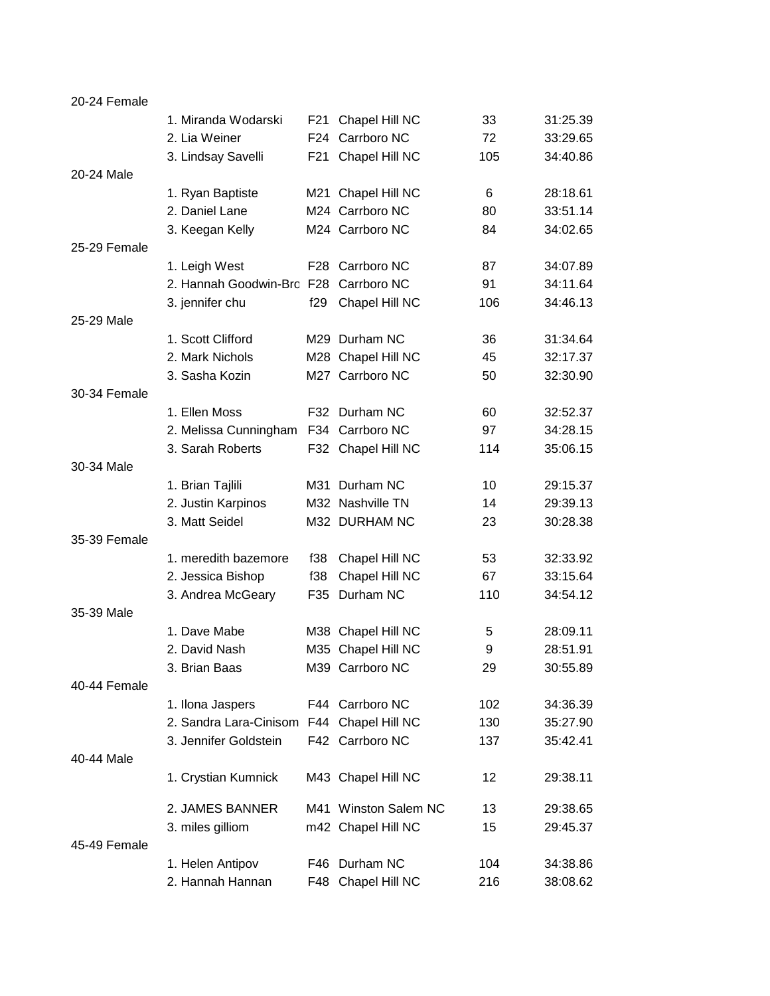| 20-24 Female |                           |                 |                      |     |          |
|--------------|---------------------------|-----------------|----------------------|-----|----------|
|              | 1. Miranda Wodarski       | F <sub>21</sub> | Chapel Hill NC       | 33  | 31:25.39 |
|              | 2. Lia Weiner             | F <sub>24</sub> | Carrboro NC          | 72  | 33:29.65 |
|              | 3. Lindsay Savelli        | F21             | Chapel Hill NC       | 105 | 34:40.86 |
| 20-24 Male   |                           |                 |                      |     |          |
|              | 1. Ryan Baptiste          |                 | M21 Chapel Hill NC   | 6   | 28:18.61 |
|              | 2. Daniel Lane            |                 | M24 Carrboro NC      | 80  | 33:51.14 |
|              | 3. Keegan Kelly           |                 | M24 Carrboro NC      | 84  | 34:02.65 |
| 25-29 Female |                           |                 |                      |     |          |
|              | 1. Leigh West             |                 | F28 Carrboro NC      | 87  | 34:07.89 |
|              | 2. Hannah Goodwin-Bro F28 |                 | Carrboro NC          | 91  | 34:11.64 |
|              | 3. jennifer chu           | f29             | Chapel Hill NC       | 106 | 34:46.13 |
| 25-29 Male   |                           |                 |                      |     |          |
|              | 1. Scott Clifford         |                 | M29 Durham NC        | 36  | 31:34.64 |
|              | 2. Mark Nichols           |                 | M28 Chapel Hill NC   | 45  | 32:17.37 |
|              | 3. Sasha Kozin            |                 | M27 Carrboro NC      | 50  | 32:30.90 |
| 30-34 Female |                           |                 |                      |     |          |
|              | 1. Ellen Moss             |                 | F32 Durham NC        | 60  | 32:52.37 |
|              | 2. Melissa Cunningham     |                 | F34 Carrboro NC      | 97  | 34:28.15 |
|              | 3. Sarah Roberts          |                 | F32 Chapel Hill NC   | 114 | 35:06.15 |
| 30-34 Male   |                           |                 |                      |     |          |
|              | 1. Brian Tajlili          |                 | M31 Durham NC        | 10  | 29:15.37 |
|              | 2. Justin Karpinos        |                 | M32 Nashville TN     | 14  | 29:39.13 |
|              | 3. Matt Seidel            |                 | M32 DURHAM NC        | 23  | 30:28.38 |
| 35-39 Female |                           |                 |                      |     |          |
|              | 1. meredith bazemore      | f38             | Chapel Hill NC       | 53  | 32:33.92 |
|              | 2. Jessica Bishop         | f38             | Chapel Hill NC       | 67  | 33:15.64 |
|              | 3. Andrea McGeary         |                 | F35 Durham NC        | 110 | 34:54.12 |
| 35-39 Male   |                           |                 |                      |     |          |
|              | 1. Dave Mabe              |                 | M38 Chapel Hill NC   | 5   | 28:09.11 |
|              | 2. David Nash             |                 | M35 Chapel Hill NC   | 9   | 28:51.91 |
|              | 3. Brian Baas             |                 | M39 Carrboro NC      | 29  | 30:55.89 |
| 40-44 Female |                           |                 |                      |     |          |
|              | 1. Ilona Jaspers          |                 | F44 Carrboro NC      | 102 | 34:36.39 |
|              | 2. Sandra Lara-Cinisom    |                 | F44 Chapel Hill NC   | 130 | 35:27.90 |
|              | 3. Jennifer Goldstein     |                 | F42 Carrboro NC      | 137 | 35:42.41 |
| 40-44 Male   |                           |                 |                      |     |          |
|              | 1. Crystian Kumnick       |                 | M43 Chapel Hill NC   | 12  | 29:38.11 |
|              | 2. JAMES BANNER           |                 | M41 Winston Salem NC | 13  | 29:38.65 |
|              | 3. miles gilliom          |                 | m42 Chapel Hill NC   | 15  | 29:45.37 |
| 45-49 Female |                           |                 |                      |     |          |
|              | 1. Helen Antipov          |                 | F46 Durham NC        | 104 | 34:38.86 |
|              | 2. Hannah Hannan          |                 | F48 Chapel Hill NC   | 216 | 38:08.62 |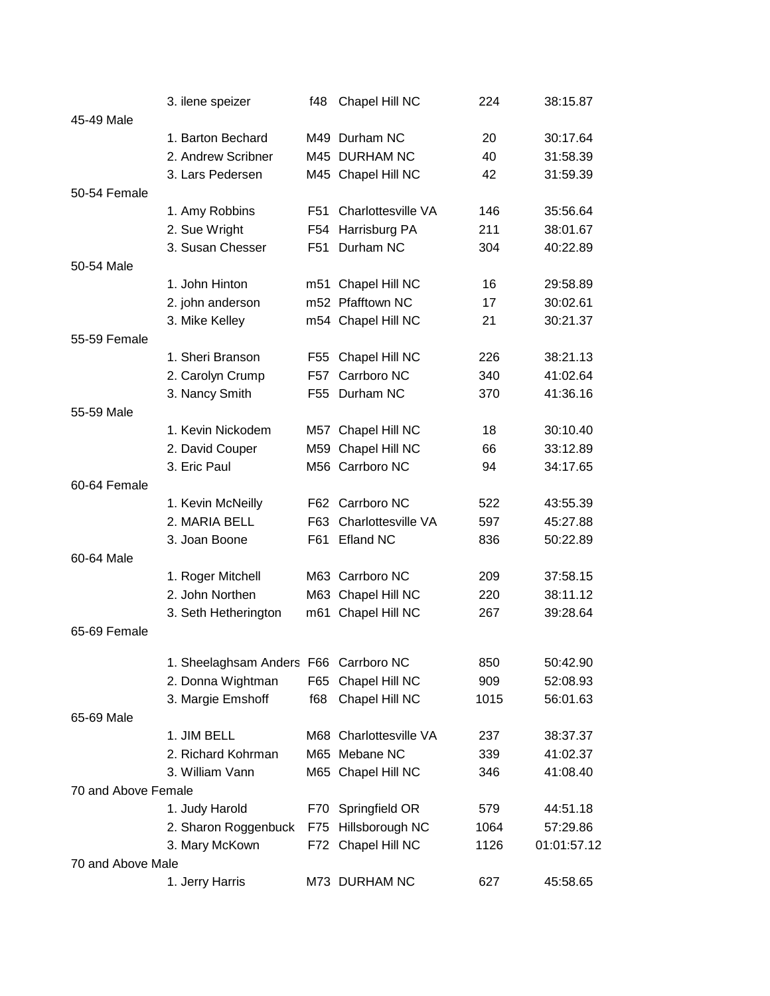|                     | 3. ilene speizer                      | f48 | Chapel Hill NC         | 224  | 38:15.87             |
|---------------------|---------------------------------------|-----|------------------------|------|----------------------|
| 45-49 Male          |                                       |     |                        |      |                      |
|                     | 1. Barton Bechard                     |     | M49 Durham NC          | 20   | 30:17.64             |
|                     | 2. Andrew Scribner                    |     | M45 DURHAM NC          | 40   | 31:58.39             |
|                     | 3. Lars Pedersen                      |     | M45 Chapel Hill NC     | 42   | 31:59.39             |
| 50-54 Female        |                                       |     |                        |      |                      |
|                     | 1. Amy Robbins                        | F51 | Charlottesville VA     | 146  | 35:56.64             |
|                     | 2. Sue Wright                         | F54 | Harrisburg PA          | 211  | 38:01.67             |
|                     | 3. Susan Chesser                      | F51 | Durham NC              | 304  | 40:22.89             |
| 50-54 Male          |                                       |     |                        |      |                      |
|                     | 1. John Hinton                        |     | m51 Chapel Hill NC     | 16   | 29:58.89             |
|                     | 2. john anderson                      |     | m52 Pfafftown NC       | 17   | 30:02.61             |
|                     | 3. Mike Kelley                        |     | m54 Chapel Hill NC     | 21   | 30:21.37             |
| 55-59 Female        |                                       |     |                        |      |                      |
|                     | 1. Sheri Branson                      |     | F55 Chapel Hill NC     | 226  | 38:21.13             |
|                     | 2. Carolyn Crump                      | F57 | Carrboro NC            | 340  | 41:02.64             |
|                     | 3. Nancy Smith                        | F55 | Durham NC              | 370  | 41:36.16             |
| 55-59 Male          |                                       |     |                        |      |                      |
|                     | 1. Kevin Nickodem                     |     | M57 Chapel Hill NC     | 18   | 30:10.40             |
|                     | 2. David Couper                       |     | M59 Chapel Hill NC     | 66   | 33:12.89             |
|                     | 3. Eric Paul                          |     | M56 Carrboro NC        | 94   | 34:17.65             |
| 60-64 Female        |                                       |     |                        |      |                      |
|                     | 1. Kevin McNeilly                     |     | F62 Carrboro NC        | 522  | 43:55.39             |
|                     | 2. MARIA BELL                         |     | F63 Charlottesville VA | 597  | 45:27.88             |
|                     | 3. Joan Boone                         |     | F61 Efland NC          | 836  | 50:22.89             |
| 60-64 Male          |                                       |     |                        |      |                      |
|                     | 1. Roger Mitchell<br>2. John Northen  |     | M63 Carrboro NC        | 209  | 37:58.15<br>38:11.12 |
|                     |                                       |     | M63 Chapel Hill NC     | 220  |                      |
| 65-69 Female        | 3. Seth Hetherington                  |     | m61 Chapel Hill NC     | 267  | 39:28.64             |
|                     |                                       |     |                        |      |                      |
|                     | 1. Sheelaghsam Anders F66 Carrboro NC |     |                        | 850  | 50:42.90             |
|                     | 2. Donna Wightman                     | F65 | Chapel Hill NC         | 909  | 52:08.93             |
|                     | 3. Margie Emshoff                     | f68 | Chapel Hill NC         | 1015 | 56:01.63             |
| 65-69 Male          |                                       |     |                        |      |                      |
|                     | 1. JIM BELL                           |     | M68 Charlottesville VA | 237  | 38:37.37             |
|                     | 2. Richard Kohrman                    |     | M65 Mebane NC          | 339  | 41:02.37             |
|                     | 3. William Vann                       |     | M65 Chapel Hill NC     | 346  | 41:08.40             |
| 70 and Above Female |                                       |     |                        |      |                      |
|                     | 1. Judy Harold                        |     | F70 Springfield OR     | 579  | 44:51.18             |
|                     | 2. Sharon Roggenbuck                  | F75 | Hillsborough NC        | 1064 | 57:29.86             |
|                     | 3. Mary McKown                        |     | F72 Chapel Hill NC     | 1126 | 01:01:57.12          |
| 70 and Above Male   |                                       |     |                        |      |                      |
|                     | 1. Jerry Harris                       |     | M73 DURHAM NC          | 627  | 45:58.65             |